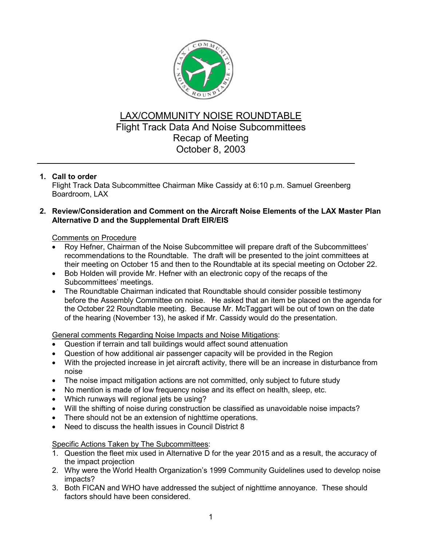

# LAX/COMMUNITY NOISE ROUNDTABLE Flight Track Data And Noise Subcommittees Recap of Meeting October 8, 2003

# **1. Call to order**

Flight Track Data Subcommittee Chairman Mike Cassidy at 6:10 p.m. Samuel Greenberg Boardroom, LAX

### **2. Review/Consideration and Comment on the Aircraft Noise Elements of the LAX Master Plan Alternative D and the Supplemental Draft EIR/EIS**

### Comments on Procedure

- Roy Hefner, Chairman of the Noise Subcommittee will prepare draft of the Subcommittees' recommendations to the Roundtable. The draft will be presented to the joint committees at their meeting on October 15 and then to the Roundtable at its special meeting on October 22.
- Bob Holden will provide Mr. Hefner with an electronic copy of the recaps of the Subcommittees' meetings.
- The Roundtable Chairman indicated that Roundtable should consider possible testimony before the Assembly Committee on noise. He asked that an item be placed on the agenda for the October 22 Roundtable meeting. Because Mr. McTaggart will be out of town on the date of the hearing (November 13), he asked if Mr. Cassidy would do the presentation.

# General comments Regarding Noise Impacts and Noise Mitigations:

- Question if terrain and tall buildings would affect sound attenuation
- Question of how additional air passenger capacity will be provided in the Region
- With the projected increase in jet aircraft activity, there will be an increase in disturbance from noise
- The noise impact mitigation actions are not committed, only subject to future study
- No mention is made of low frequency noise and its effect on health, sleep, etc.
- Which runways will regional jets be using?
- Will the shifting of noise during construction be classified as unavoidable noise impacts?
- There should not be an extension of nighttime operations.
- Need to discuss the health issues in Council District 8

Specific Actions Taken by The Subcommittees:

- 1. Question the fleet mix used in Alternative D for the year 2015 and as a result, the accuracy of the impact projection
- 2. Why were the World Health Organization's 1999 Community Guidelines used to develop noise impacts?
- 3. Both FICAN and WHO have addressed the subject of nighttime annoyance. These should factors should have been considered.